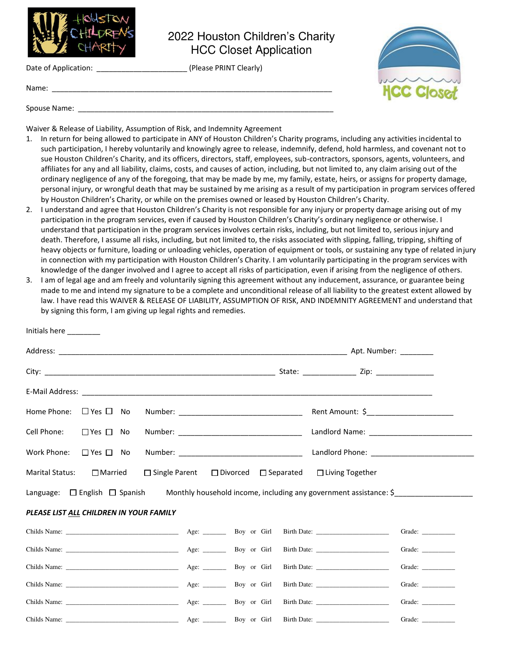

Name:

Spouse Name: \_\_\_\_\_\_\_\_\_\_\_\_\_\_\_\_\_\_\_\_\_\_\_\_\_\_\_\_\_\_\_\_\_\_\_\_\_\_\_\_\_\_\_\_\_\_\_\_\_\_\_\_\_\_\_\_\_\_\_\_\_\_

Initials here \_\_\_\_\_\_\_\_

2022 Houston Children's Charity HCC Closet Application

Date of Application: \_\_\_\_\_\_\_\_\_\_\_\_\_\_\_\_\_\_\_\_\_\_\_\_\_\_\_\_\_\_\_\_ (Please PRINT Clearly)



Waiver & Release of Liability, Assumption of Risk, and Indemnity Agreement

- 1. In return for being allowed to participate in ANY of Houston Children's Charity programs, including any activities incidental to such participation, I hereby voluntarily and knowingly agree to release, indemnify, defend, hold harmless, and covenant not to sue Houston Children's Charity, and its officers, directors, staff, employees, sub-contractors, sponsors, agents, volunteers, and affiliates for any and all liability, claims, costs, and causes of action, including, but not limited to, any claim arising out of the ordinary negligence of any of the foregoing, that may be made by me, my family, estate, heirs, or assigns for property damage, personal injury, or wrongful death that may be sustained by me arising as a result of my participation in program services offered by Houston Children's Charity, or while on the premises owned or leased by Houston Children's Charity.
- 2. I understand and agree that Houston Children's Charity is not responsible for any injury or property damage arising out of my participation in the program services, even if caused by Houston Children's Charity's ordinary negligence or otherwise. I understand that participation in the program services involves certain risks, including, but not limited to, serious injury and death. Therefore, I assume all risks, including, but not limited to, the risks associated with slipping, falling, tripping, shifting of heavy objects or furniture, loading or unloading vehicles, operation of equipment or tools, or sustaining any type of related injury in connection with my participation with Houston Children's Charity. I am voluntarily participating in the program services with knowledge of the danger involved and I agree to accept all risks of participation, even if arising from the negligence of others.
- 3. I am of legal age and am freely and voluntarily signing this agreement without any inducement, assurance, or guarantee being made to me and intend my signature to be a complete and unconditional release of all liability to the greatest extent allowed by law. I have read this WAIVER & RELEASE OF LIABILITY, ASSUMPTION OF RISK, AND INDEMNITY AGREEMENT and understand that by signing this form, I am giving up legal rights and remedies.

| Home Phone: $\Box$ Yes $\Box$ No                                                                                        |                      |  |                                                       |  |  |  |  | Rent Amount: \$_______________________ |        |
|-------------------------------------------------------------------------------------------------------------------------|----------------------|--|-------------------------------------------------------|--|--|--|--|----------------------------------------|--------|
| Cell Phone:                                                                                                             | □ Yes □ No           |  |                                                       |  |  |  |  |                                        |        |
| Work Phone:                                                                                                             | $\Box$ Yes $\Box$ No |  |                                                       |  |  |  |  |                                        |        |
| <b>Marital Status:</b>                                                                                                  | $\square$ Married    |  | $\Box$ Single Parent $\Box$ Divorced $\Box$ Separated |  |  |  |  | $\Box$ Living Together                 |        |
| Monthly household income, including any government assistance: $\frac{1}{2}$<br>Language: $\Box$ English $\Box$ Spanish |                      |  |                                                       |  |  |  |  |                                        |        |
| PLEASE LIST ALL CHILDREN IN YOUR FAMILY                                                                                 |                      |  |                                                       |  |  |  |  |                                        |        |
|                                                                                                                         |                      |  |                                                       |  |  |  |  |                                        |        |
|                                                                                                                         |                      |  |                                                       |  |  |  |  |                                        |        |
|                                                                                                                         |                      |  |                                                       |  |  |  |  | Birth Date:                            | Grade: |
|                                                                                                                         |                      |  |                                                       |  |  |  |  |                                        | Grade: |
|                                                                                                                         |                      |  |                                                       |  |  |  |  | Birth Date: Grade: Grade:              |        |
|                                                                                                                         |                      |  |                                                       |  |  |  |  |                                        |        |